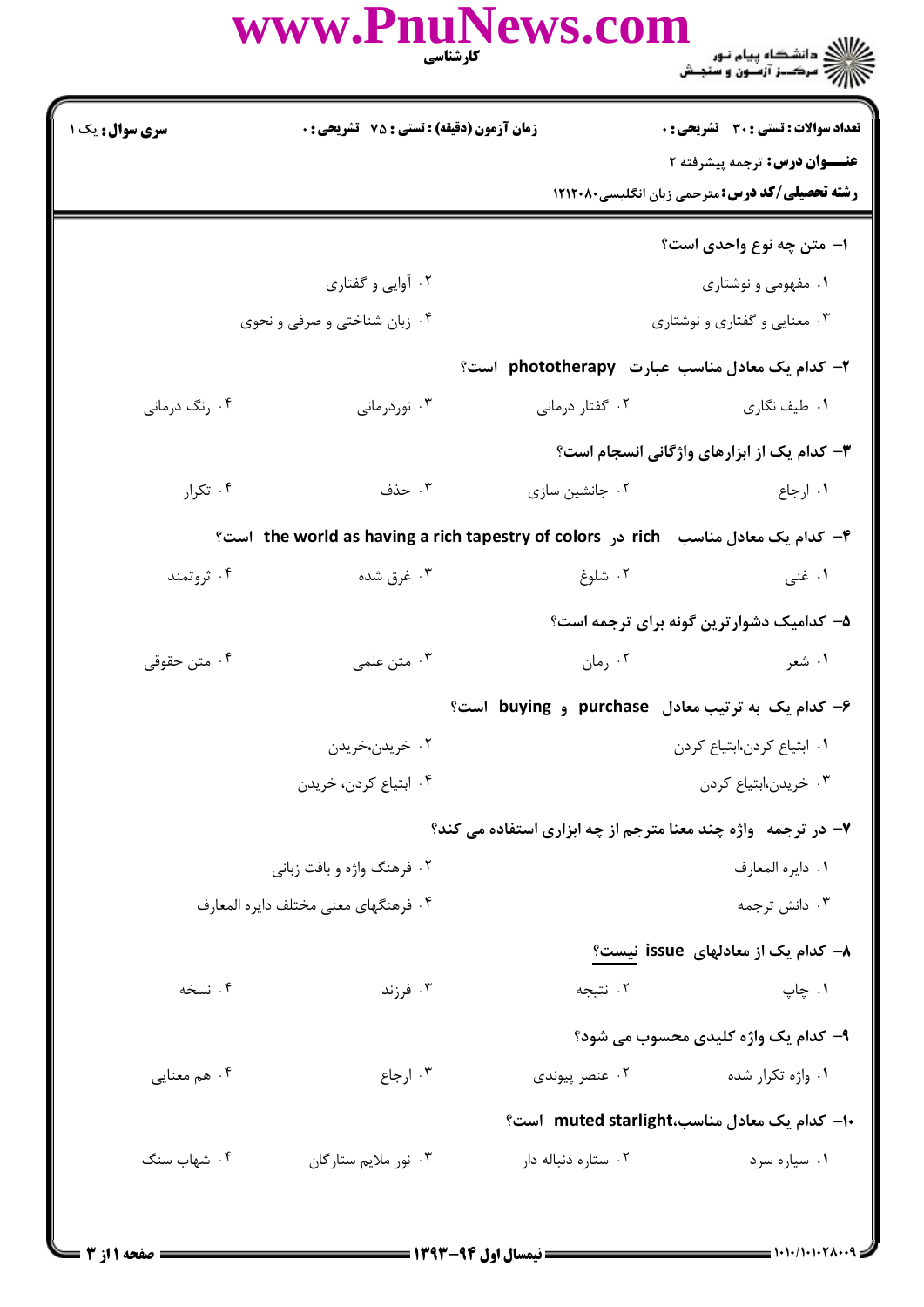|                        | WWW.FIIUINEWS.COIII<br><b>کارشناسی</b>             | ے۔<br>﴾ اللہ کے دانشگاہ پیام نور<br>﴾ اللہ = مرک—ز آزمــون و سنجــش |
|------------------------|----------------------------------------------------|---------------------------------------------------------------------|
| <b>سری سوال :</b> یک ۱ | <b>زمان آزمون (دقیقه) : تستی : 75 ٪ تشریحی : 0</b> | <b>تعداد سوالات : تستی : 30 ٪ تشریحی : 0</b>                        |

 $\mathbf{M}_{\alpha}$ 

عنــوان درس: ترجمه پیشرفته ۲ **رشته تحصیلی/کد درس:** مترجمی زبان انگلیسی۲۱۲۰۸۰ ۱– متن چه نوع واحدی است؟ ۰۲ آوایی و گفتاری ۰۱ مفهومی و نوشتاری ۰۴ زبان شناختی و صرفی و نحوی ۰۳ معنایی و گفتاری و نوشتاری ۲- کدام یک معادل مناسب عبارت phototherapy است؟ ۰۴ رنگ درمانی ۰۲ گفتار درمانی ۰۳ نوردرمانی ۰۱ طیف نگاری **۳**- کدام یک از ابزارهای واژگانی انسجام است؟ ۰۳ حذف ۰۴ تکرا, ۰۲ جانشین سازی ۰۱ ا<sub>ر</sub>جاع ۴- كدام يك معادل مناسب fich در the world as having a rich tapestry of colors است؟ ۰۲ شلوغ ۰۴ ثروتمند ۰۳ غرق شده ۰۱ غنی ۵– کدامیک دشوارترین گونه برای ترجمه است؟ ۰۴ متن حقوقی ۰۲ رمان ۰۳ متن علمی ۰۱ شعر ۶- کدام یک به ترتیب معادل purchase و buying است؟ ۰۲ خريدن،خريدن ٠١. ابتياع كردن،ابتياع كردن ۰۴ ابتياع كردن، خريدن ۰۳ خریدن،ابتیاع کردن ۷- در ترجمه واژه چند معنا مترجم از چه ابزاری استفاده می کند؟ ۰۲ فرهنگ واژه و بافت زبانی ٠١. دايره المعارف ۰۳ دانش ترجمه ۴. فرهنگهای معنی مختلف دایره المعارف **۸**– کدام یک از معادلهای issue نیست؟ ۰۴ نسخه ۰۲ نتيجه ۰۳ فرزند ۰۱ چاپ ۹- کدام یک واژه کلیدی محسوب می شود؟

۰۴ هم معنایی ۰۳ ارجاع ۰۲ عنصر پیوندی ۰۱ واژه تکرار شده -۱- كدام یک معادل مناسب،muted starlight است؟ ۰۲ ستاره دنباله دار ۰۱ سیاره سرد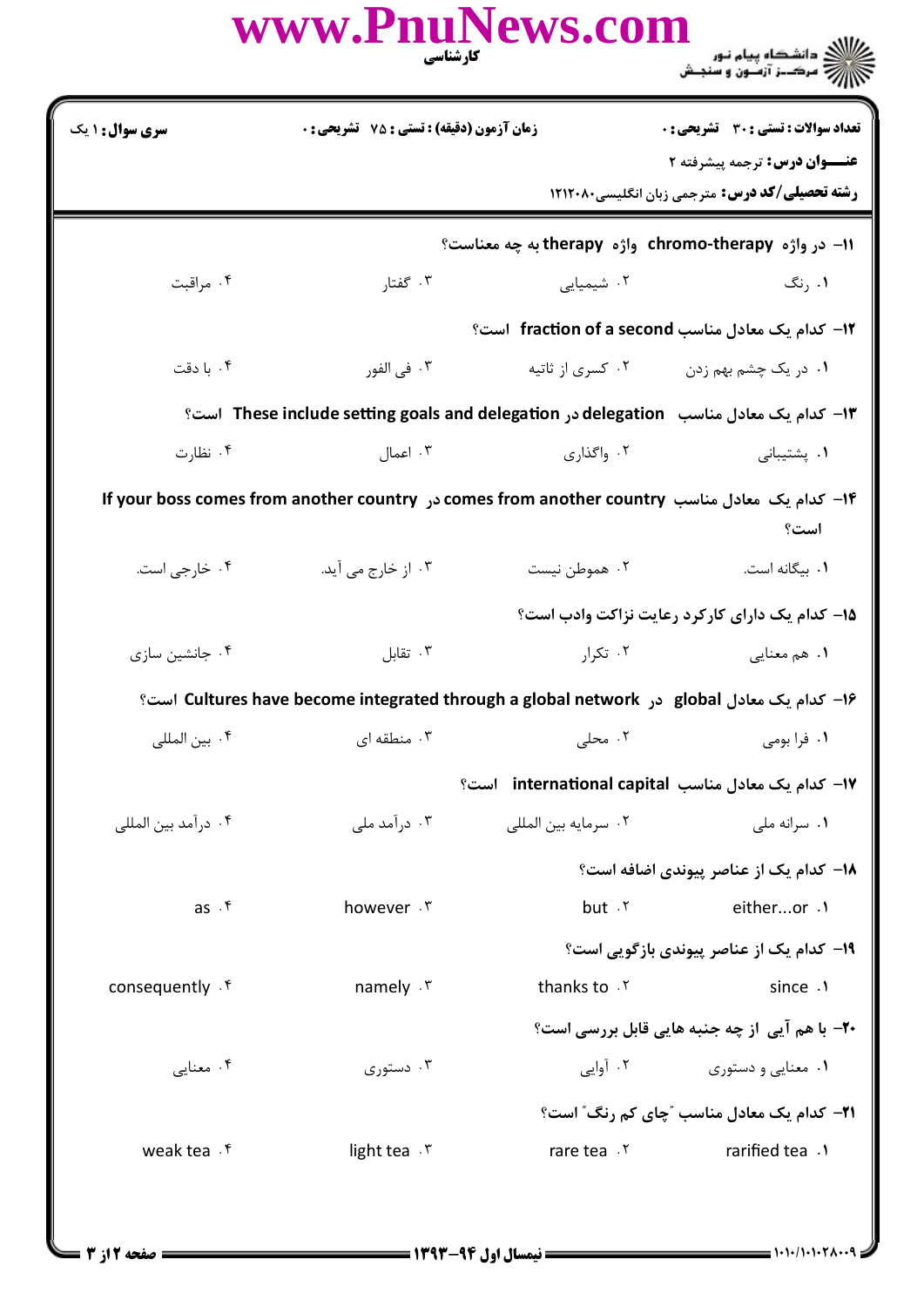|                                                                                          | كارشناسي                                  | www.PnuNews.com      | ر دانشگاه پیام نور<br>۱۳۸۷ - مکــز آزمـون و سنجـش                                                     |  |
|------------------------------------------------------------------------------------------|-------------------------------------------|----------------------|-------------------------------------------------------------------------------------------------------|--|
| <b>سری سوال : ۱ یک</b>                                                                   | زمان آزمون (دقيقه) : تستي : 75 گشريحي : 0 |                      | <b>تعداد سوالات : تستی : 30 ٪ تشریحی : 0</b>                                                          |  |
|                                                                                          |                                           |                      | <b>عنـــوان درس:</b> ترجمه پیشرفته ۲                                                                  |  |
|                                                                                          |                                           |                      | <b>رشته تحصیلی/کد درس:</b> مترجمی زبان انگلیسی۸۰×۱۲۱۲                                                 |  |
|                                                                                          |                                           |                      | 11- در واژه chromo-therapy واژه therapy به چه معناست؟                                                 |  |
| ۰۴ مراقبت                                                                                | ۰۳ گفتار                                  | ۰۲ شیمیایی           | ۰۱ ,نگ                                                                                                |  |
|                                                                                          |                                           |                      | 1۲- کدام یک معادل مناسب fraction of a second است؟                                                     |  |
| ۰۴ با دقت                                                                                | ۰۳ في الفور                               | ۰۲ کسری از ثاتیه     | ۰۱ در یک چشم بهم زدن                                                                                  |  |
| ۱۳– کدام یک معادل مناسب   delegation در These include setting goals and delegation  است؟ |                                           |                      |                                                                                                       |  |
| ۰۴ نظارت                                                                                 | ۰۳ اعمال                                  | ۰۲ واگذاری           | ۰۱ پشتیبانی                                                                                           |  |
|                                                                                          |                                           |                      | ۱۴– کدام یک معادل مناسب comes from another country در If your boss comes from another country<br>است؟ |  |
| ۰۴ خارجي است.                                                                            | ۰۳ از خارج می آید.                        | ۰۲ هموطن نیست        | ۰۱ بیگانه است.                                                                                        |  |
|                                                                                          |                                           |                      | ۱۵– کدام یک دارای کارکرد رعایت نزاکت وادب است؟                                                        |  |
| ۰۴ جانشین سازی                                                                           | ۰۳ تقابل                                  | ۰۲ تکرا,             | ۰۱ هم معنایی                                                                                          |  |
| ۱۶– کدام یک معادل Cultures have become integrated through a global network است؟          |                                           |                      |                                                                                                       |  |
| ۰۴ بين المللي                                                                            | ۰۳ منطقه ای                               | ۰۲ محلی              | ۰۱ فرا بومی                                                                                           |  |
|                                                                                          |                                           |                      | 17- كدام يك معادل مناسب international capital است؟                                                    |  |
| ۰۴ درآمد بین المللی                                                                      | ۰۳ در آمد ملی                             | ٠٢ سرمايه بين المللي | ۰۱ سرانه ملي                                                                                          |  |
|                                                                                          |                                           |                      | <b>۱۸</b> - کدام یک از عناصر پیوندی اضافه است؟                                                        |  |
| $as \cdot f$                                                                             | however . ٣                               | $but \cdot Y$        | eitheror .1                                                                                           |  |
|                                                                                          |                                           |                      | ۱۹- کدام یک از عناصر پیوندی بازگویی است؟                                                              |  |
| consequently . f                                                                         | namely . ٣                                | thanks to . ٢        | since .1                                                                                              |  |
|                                                                                          |                                           |                      | <b>۲۰-</b> با هم آیی از چه جنبه هایی قابل بررسی است؟                                                  |  |
| ۰۴ معنایی                                                                                | ۰۳ دستوری                                 |                      | ۰۱ معنایی و دستوری مسترد کشوری به این است                                                             |  |
|                                                                                          |                                           |                      | <b>۲۱</b> - کدام یک معادل مناسب "چای کم رنگ" است؟                                                     |  |
| weak tea . ۴                                                                             | light tea $\cdot$ $\mathsf{r}$            | rare tea . ٢         | rarified tea .1                                                                                       |  |
|                                                                                          |                                           |                      |                                                                                                       |  |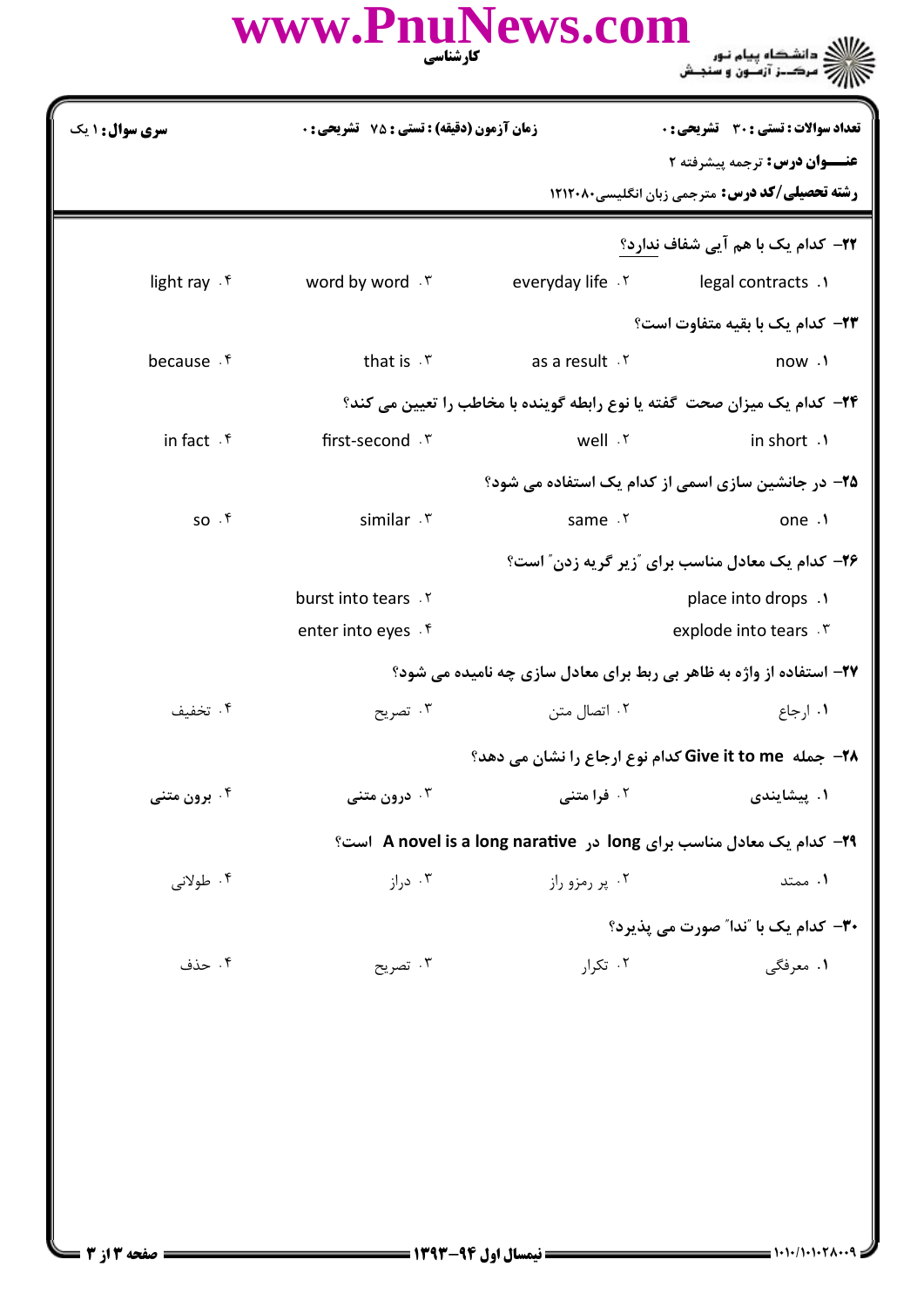| www.PnuNews.com  |                                         |  |
|------------------|-----------------------------------------|--|
| <b>کار شناسی</b> | شڪاه پيام نور<br>ھـــز آزمــون و سنجــش |  |
|                  |                                         |  |

**سری سوال : ۱ یک تعداد سوالات : تستی : 30 ٪ تشریحی : 0 زمان آزمون (دقیقه) : تستی : 75 تشریحی : 0** عنــوان درس: ترجمه پیشرفته ۲ **رشته تحصیلی/کد درس:** مترجمی زبان انگلیسی۲۱۲۰۸۰ **۲۲**– کدام یک با هم آیی شفاف ندارد؟ word by word. ٣. everyday life .Y legal contracts .1 light rav . f **٢٣**- كدام يك با بقيه متفاوت است؟ because . f that is . ۳ as a result Y now . **۲۴**- کدام یک میزان صحت گفته یا نوع رابطه گوینده با مخاطب را تعیین می کند؟ in fact  $\mathcal{F}$ first-second . ٣ well .Y in short .1 ۲۵– در جانشین سازی اسمی از کدام یک استفاده می شود؟  $SO.$   $\mathfrak{h}$ similar . ٣ same . ٢ one .1 ۲۶- کدام یک معادل مناسب برای آزیر گریه زدن" است؟ burst into tears . ٢ place into drops .1 enter into eyes . f explode into tears . ٣ ۲۷- استفاده از واژه به ظاهر بی ربط برای معادل سازی چه نامیده می شود؟ ۰۴ تخفىف ۰۳ تصریح ۰۲ اتصال متن ٠١ ارجاع ۲۸- جمله Give it to me کدام نوع ارجاع را نشان می دهد؟ ۰۲ فرا متن*ی* ۰۴ برون متنی ۰۳ درون متن*ی* ۰۱ پیشایندی ٢٩- كدام يك معادل مناسب براي long در A novel is a long narative است؟ ۰۴ طولانی ۰۳ د,از ۰۲ پر رمزو راز ۰۱ ممتد **٣٠**- كدام يک با "ندا" صورت مي يذيرد؟ ۰۲ تکرار ۰۱ معرفگی ۰۴ حذف ۰۳ تصریح